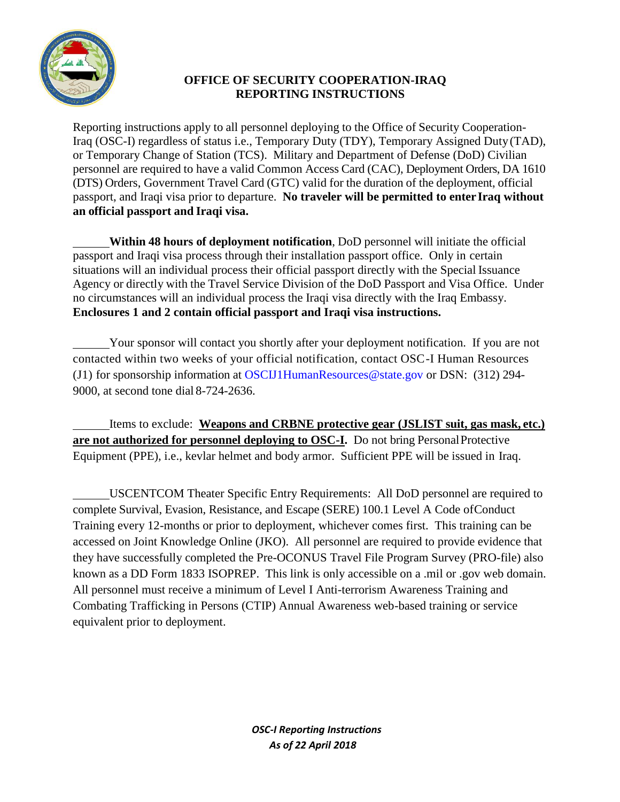

## **OFFICE OF SECURITY COOPERATION-IRAQ REPORTING INSTRUCTIONS**

Reporting instructions apply to all personnel deploying to the Office of Security Cooperation-Iraq (OSC-I) regardless of status i.e., Temporary Duty (TDY), Temporary Assigned Duty(TAD), or Temporary Change of Station (TCS). Military and Department of Defense (DoD) Civilian personnel are required to have a valid Common Access Card (CAC), Deployment Orders, DA 1610 (DTS) Orders, Government Travel Card (GTC) valid for the duration of the deployment, official passport, and Iraqi visa prior to departure. **No traveler will be permitted to enter Iraq without an official passport and Iraqi visa.**

**Within 48 hours of deployment notification**, DoD personnel will initiate the official passport and Iraqi visa process through their installation passport office. Only in certain situations will an individual process their official passport directly with the Special Issuance Agency or directly with the Travel Service Division of the DoD Passport and Visa Office. Under no circumstances will an individual process the Iraqi visa directly with the Iraq Embassy. **Enclosures 1 and 2 contain official passport and Iraqi visa instructions.**

Your sponsor will contact you shortly after your deployment notification. If you are not contacted within two weeks of your official notification, contact OSC-I Human Resources (J1) for sponsorship information at [OSCIJ1HumanResources@state.gov](mailto:OSCIJ1HumanResources@state.gov) or DSN: (312) 294- 9000, at second tone dial 8-724-2636.

Items to exclude: **Weapons and CRBNE protective gear (JSLIST suit, gas mask, etc.) are not authorized for personnel deploying to OSC-I.** Do not bring PersonalProtective Equipment (PPE), i.e., kevlar helmet and body armor. Sufficient PPE will be issued in Iraq.

USCENTCOM Theater Specific Entry Requirements: All DoD personnel are required to complete Survival, Evasion, Resistance, and Escape (SERE) 100.1 Level A Code ofConduct Training every 12-months or prior to deployment, whichever comes first. This training can be accessed on Joint Knowledge Online (JKO). All personnel are required to provide evidence that they have successfully completed the Pre-OCONUS Travel File Program Survey (PRO-file) also known as a DD Form 1833 ISOPREP. This link is only accessible on a .mil or .gov web domain. All personnel must receive a minimum of Level I Anti-terrorism Awareness Training and Combating Trafficking in Persons (CTIP) Annual Awareness web-based training or service equivalent prior to deployment.

> *OSC-I Reporting Instructions As of 22 April 2018*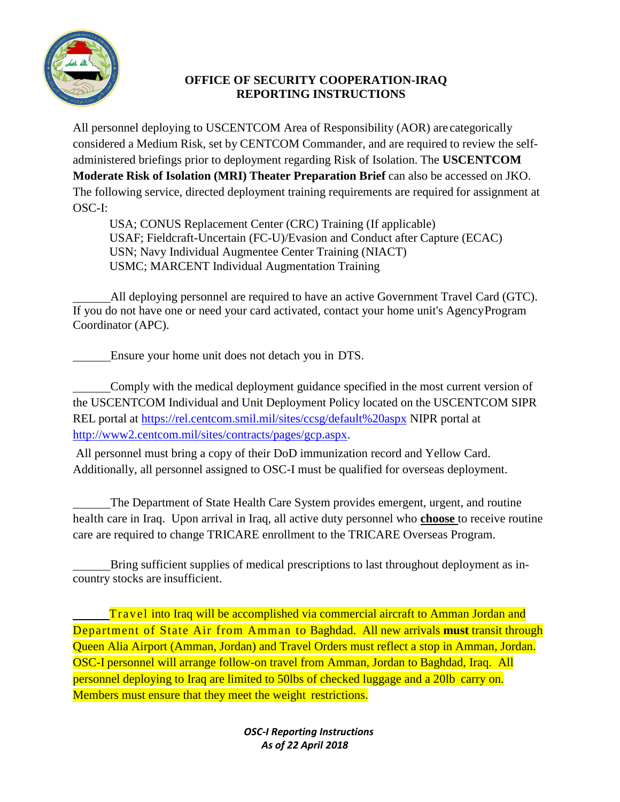

## **OFFICE OF SECURITY COOPERATION-IRAQ REPORTING INSTRUCTIONS**

All personnel deploying to USCENTCOM Area of Responsibility (AOR) are categorically considered a Medium Risk, set by CENTCOM Commander, and are required to review the selfadministered briefings prior to deployment regarding Risk of Isolation. The **USCENTCOM Moderate Risk of Isolation (MRI) Theater Preparation Brief** can also be accessed on JKO. The following service, directed deployment training requirements are required for assignment at OSC-I:

USA; CONUS Replacement Center (CRC) Training (If applicable) USAF; Fieldcraft-Uncertain (FC-U)/Evasion and Conduct after Capture (ECAC) USN; Navy Individual Augmentee Center Training (NIACT) USMC; MARCENT Individual Augmentation Training

All deploying personnel are required to have an active Government Travel Card (GTC). If you do not have one or need your card activated, contact your home unit's AgencyProgram Coordinator (APC).

Ensure your home unit does not detach you in DTS.

Comply with the medical deployment guidance specified in the most current version of the USCENTCOM Individual and Unit [Deployment](https://rel.centcom.smil.mil/sites/ccsg/default%20aspx) Policy located on the USCENTCOM SIPR REL portal at<https://rel.centcom.smil.mil/sites/ccsg/default%20aspx> NIPR portal at [http://www2.centcom.mil/sites/contracts/pages/gcp.aspx.](http://www2.centcom.mil/sites/contracts/pages/gcp.aspx)

All personnel must bring a copy of their DoD immunization record and Yellow Card. Additionally, all personnel assigned to OSC-I must be qualified for overseas deployment.

The Department of State Health Care System provides emergent, urgent, and routine health care in Iraq. Upon arrival in Iraq, all active duty personnel who **choose** to receive routine care are required to change TRICARE enrollment to the TRICARE Overseas Program.

Bring sufficient supplies of medical prescriptions to last throughout deployment as incountry stocks are insufficient.

Trav el into Iraq will be accomplished via commercial aircraft to Amman Jordan and Department of State Air from Amman to Baghdad. All new arrivals **must** transit through Queen Alia Airport (Amman, Jordan) and Travel Orders must reflect a stop in Amman, Jordan. OSC-I personnel will arrange follow-on travel from Amman, Jordan to Baghdad, Iraq. All personnel deploying to Iraq are limited to 50lbs of checked luggage and a 20lb carry on. Members must ensure that they meet the weight restrictions.

> *OSC-I Reporting Instructions As of 22 April 2018*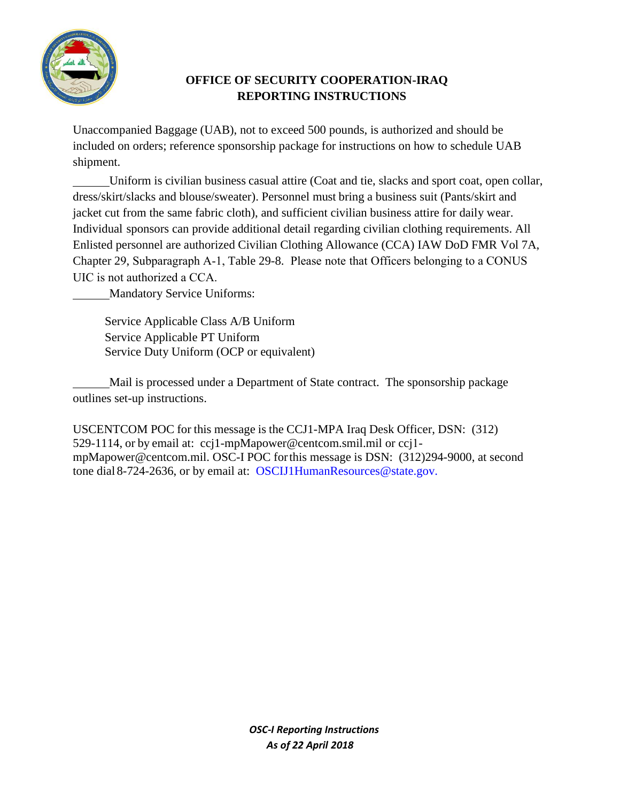

## **OFFICE OF SECURITY COOPERATION-IRAQ REPORTING INSTRUCTIONS**

Unaccompanied Baggage (UAB), not to exceed 500 pounds, is authorized and should be included on orders; reference sponsorship package for instructions on how to schedule UAB shipment.

Uniform is civilian business casual attire (Coat and tie, slacks and sport coat, open collar, dress/skirt/slacks and blouse/sweater). Personnel must bring a business suit (Pants/skirt and jacket cut from the same fabric cloth), and sufficient civilian business attire for daily wear. Individual sponsors can provide additional detail regarding civilian clothing requirements. All Enlisted personnel are authorized Civilian Clothing Allowance (CCA) IAW DoD FMR Vol 7A, Chapter 29, Subparagraph A-1, Table 29-8. Please note that Officers belonging to a CONUS UIC is not authorized a CCA.

Mandatory Service Uniforms:

Service Applicable Class A/B Uniform Service Applicable PT Uniform Service Duty Uniform (OCP or equivalent)

Mail is processed under a Department of State contract. The sponsorship package outlines set-up instructions.

USCENTCOM POC for this message is the CCJ1-MPA Iraq Desk Officer, DSN: (312) 529-1114, or by ema[il at: ccj1-mpMapower@centcom.smil.](mailto:ccj1-mpMapower@centcom.smil.mil)[mil or ccj](mailto:ccji-mpMapower@centcom.mil)1 mpMapower@centcom.mil. OSC-I POC for this message is DSN: (312)294-9000, at second tone dial [8-724-2636, or by email at: OSCIJ1H](mailto:OSCIJ1HumanResources@state.gov)umanResources@state.gov.

> *OSC-I Reporting Instructions As of 22 April 2018*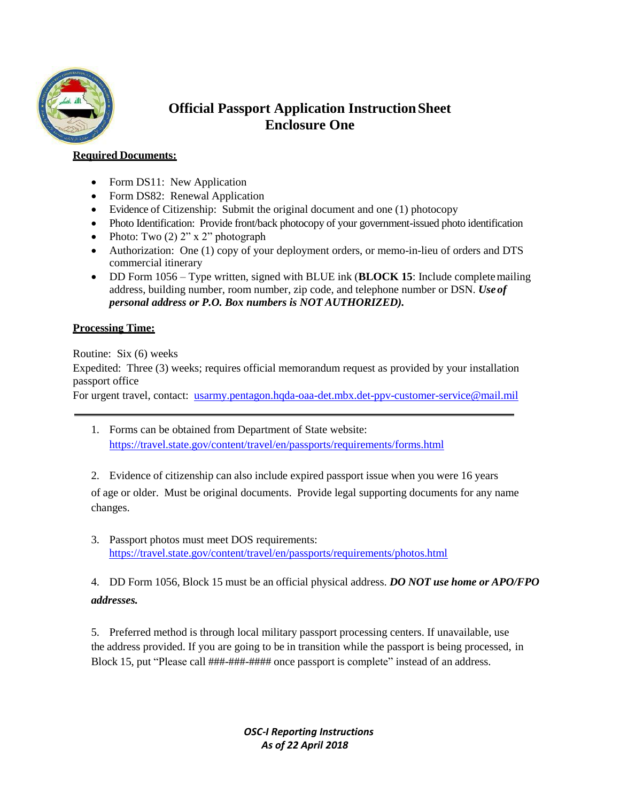

# **Official Passport Application InstructionSheet Enclosure One**

### **Required Documents:**

- Form DS11: New Application
- Form DS82: Renewal Application
- Evidence of Citizenship: Submit the original document and one (1) photocopy
- Photo Identification: Provide front/back photocopy of your government-issued photo identification
- Photo: Two  $(2)$  2" x 2" photograph
- Authorization: One (1) copy of your deployment orders, or memo-in-lieu of orders and DTS commercial itinerary
- DD Form 1056 Type written, signed with BLUE ink (**BLOCK 15**: Include completemailing address, building number, room number, zip code, and telephone number or DSN. *Use of personal address or P.O. Box numbers is NOT AUTHORIZED).*

## **Processing Time:**

Routine: Six (6) weeks

Expedited: Three (3) weeks; requires official memorandum request as provided by your installation passport office

For urgent travel, contact: [usarmy.pentagon.hqda-oaa-det.mbx.det-ppv-customer-service@mail.mil](mailto:usarmy.pentagon.hqda-oaa-det.mbx.det-ppv-customer-service@mail.mil)

- 1. Forms can be obtained from Department of State website: <https://travel.state.gov/content/travel/en/passports/requirements/forms.html>
- 2. Evidence of citizenship can also include expired passport issue when you were 16 years of age or older. Must be original documents. Provide legal supporting documents for any name changes.
- 3. Passport photos must meet DOS requirements: <https://travel.state.gov/content/travel/en/passports/requirements/photos.html>

4. DD Form 1056, Block 15 must be an official physical address. *DO NOT use home or APO/FPO addresses.*

5. Preferred method is through local military passport processing centers. If unavailable, use the address provided. If you are going to be in transition while the passport is being processed, in Block 15, put "Please call ###-###-#### once passport is complete" instead of an address.

> *OSC-I Reporting Instructions As of 22 April 2018*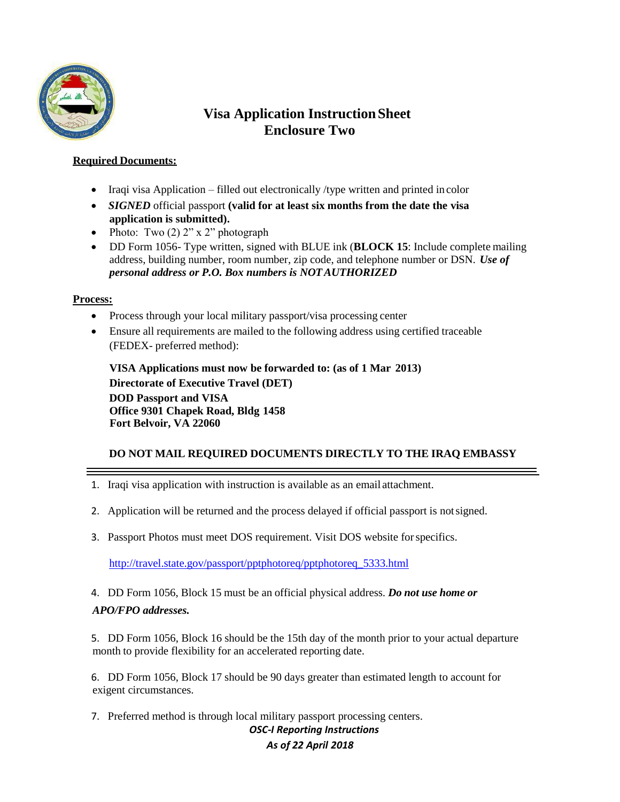

# **Visa Application InstructionSheet Enclosure Two**

### **Required Documents:**

- Iraqi visa Application filled out electronically /type written and printed in color
- *SIGNED* official passport **(valid for at least six months from the date the visa application is submitted).**
- Photo: Two  $(2)$  2" x 2" photograph
- DD Form 1056- Type written, signed with BLUE ink (**BLOCK 15**: Include complete mailing address, building number, room number, zip code, and telephone number or DSN. *Use of personal address or P.O. Box numbers is NOTAUTHORIZED*

#### **Process:**

- Process through your local military passport/visa processing center
- Ensure all requirements are mailed to the following address using certified traceable (FEDEX- preferred method):

**VISA Applications must now be forwarded to: (as of 1 Mar 2013) Directorate of Executive Travel (DET) DOD Passport and VISA Office 9301 Chapek Road, Bldg 1458 Fort Belvoir, VA 22060**

## **DO NOT MAIL REQUIRED DOCUMENTS DIRECTLY TO THE IRAQ EMBASSY**

- 1. Iraqi visa application with instruction is available as an email attachment.
- 2. Application will be returned and the process delayed if official passport is notsigned.
- 3. Passport Photos must meet DOS requirement. Visit DOS website forspecifics.

[http://travel.state.gov/passport/pptphotoreq/pptphotoreq\\_5333.html](http://travel.state.gov/passport/pptphotoreq/pptphotoreq_5333.html)

4. DD Form 1056, Block 15 must be an official physical address. *Do not use home or*

### *APO/FPO addresses.*

5. DD Form 1056, Block 16 should be the 15th day of the month prior to your actual departure month to provide flexibility for an accelerated reporting date.

6. DD Form 1056, Block 17 should be 90 days greater than estimated length to account for exigent circumstances.

7. Preferred method is through local military passport processing centers.

## *OSC-I Reporting Instructions*

## *As of 22 April 2018*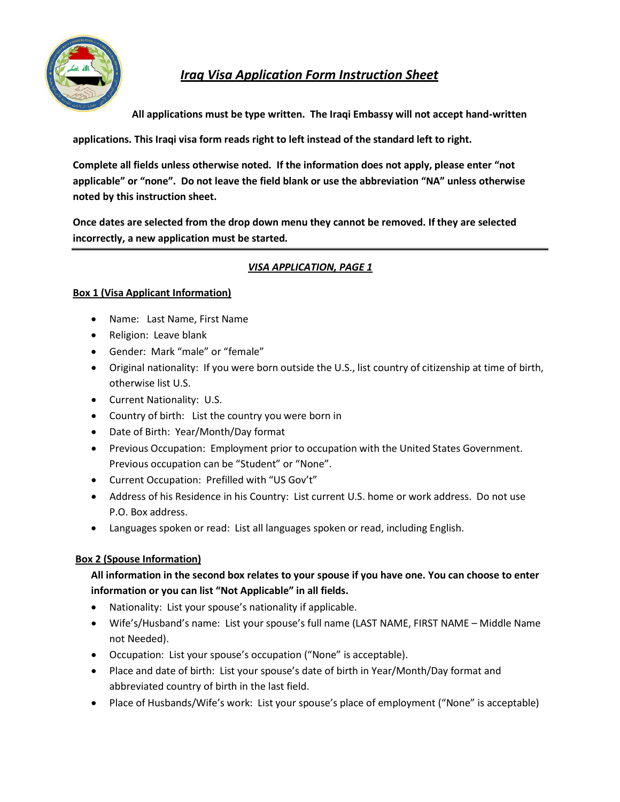

# *Iraq Visa Application Form Instruction Sheet*

**All applications must be type written. The Iraqi Embassy will not accept hand-written**

**applications. This Iraqi visa form reads right to left instead of the standard left to right.**

**Complete all fields unless otherwise noted. If the information does not apply, please enter "not applicable" or "none". Do not leave the field blank or use the abbreviation "NA" unless otherwise noted by this instruction sheet.**

**Once dates are selected from the drop down menu they cannot be removed. If they are selected incorrectly, a new application must be started.**

## *VISA APPLICATION, PAGE 1*

### **Box 1 (Visa Applicant Information)**

- Name: Last Name, First Name
- Religion: Leave blank
- Gender: Mark "male" or "female"
- Original nationality: If you were born outside the U.S., list country of citizenship at time of birth, otherwise list U.S.
- Current Nationality: U.S.
- Country of birth: List the country you were born in
- Date of Birth: Year/Month/Day format
- Previous Occupation: Employment prior to occupation with the United States Government. Previous occupation can be "Student" or "None".
- Current Occupation: Prefilled with "US Gov't"
- Address of his Residence in his Country: List current U.S. home or work address. Do not use P.O. Box address.
- Languages spoken or read: List all languages spoken or read, including English.

### **Box 2 (Spouse Information)**

## **All information in the second box relates to your spouse if you have one. You can choose to enter information or you can list "Not Applicable" in all fields.**

- Nationality: List your spouse's nationality if applicable.
- Wife's/Husband's name: List your spouse's full name (LAST NAME, FIRST NAME Middle Name not Needed).
- Occupation: List your spouse's occupation ("None" is acceptable).
- Place and date of birth: List your spouse's date of birth in Year/Month/Day format and abbreviated country of birth in the last field.
- Place of Husbands/Wife's work: List your spouse's place of employment ("None" is acceptable)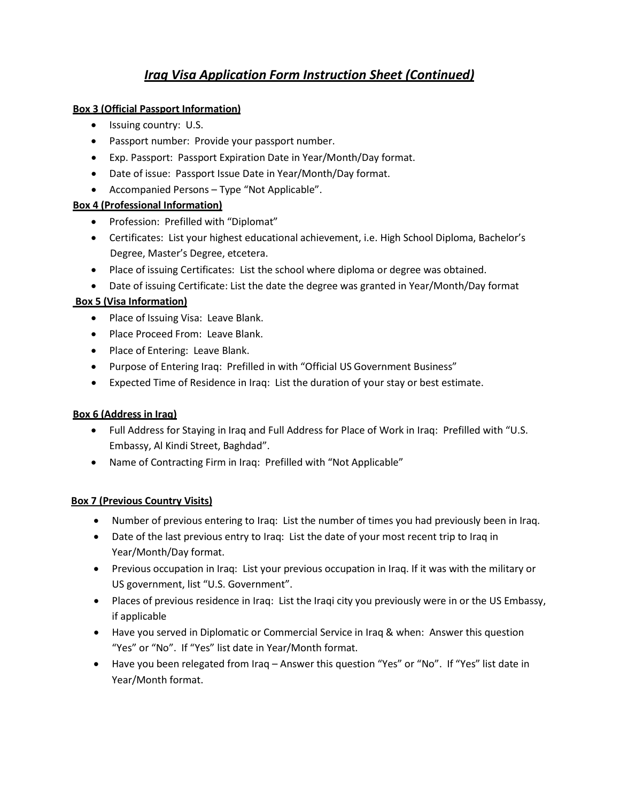## *Iraq Visa Application Form Instruction Sheet (Continued)*

## **Box 3 (Official Passport Information)**

- Issuing country: U.S.
- Passport number: Provide your passport number.
- Exp. Passport: Passport Expiration Date in Year/Month/Day format.
- Date of issue: Passport Issue Date in Year/Month/Day format.
- Accompanied Persons Type "Not Applicable".

### **Box 4 (Professional Information)**

- Profession: Prefilled with "Diplomat"
- Certificates: List your highest educational achievement, i.e. High School Diploma, Bachelor's Degree, Master's Degree, etcetera.
- Place of issuing Certificates: List the school where diploma or degree was obtained.
- Date of issuing Certificate: List the date the degree was granted in Year/Month/Day format

## **Box 5 (Visa Information)**

- Place of Issuing Visa: Leave Blank.
- Place Proceed From: Leave Blank.
- Place of Entering: Leave Blank.
- Purpose of Entering Iraq: Prefilled in with "Official US Government Business"
- Expected Time of Residence in Iraq: List the duration of your stay or best estimate.

### **Box 6 (Address in Iraq)**

- Full Address for Staying in Iraq and Full Address for Place of Work in Iraq: Prefilled with "U.S. Embassy, Al Kindi Street, Baghdad".
- Name of Contracting Firm in Iraq: Prefilled with "Not Applicable"

### **Box 7 (Previous Country Visits)**

- Number of previous entering to Iraq: List the number of times you had previously been in Iraq.
- Date of the last previous entry to Iraq: List the date of your most recent trip to Iraq in Year/Month/Day format.
- Previous occupation in Iraq: List your previous occupation in Iraq. If it was with the military or US government, list "U.S. Government".
- Places of previous residence in Iraq: List the Iraqi city you previously were in or the US Embassy, if applicable
- Have you served in Diplomatic or Commercial Service in Iraq & when: Answer this question "Yes" or "No". If "Yes" list date in Year/Month format.
- Have you been relegated from Iraq Answer this question "Yes" or "No". If "Yes" list date in Year/Month format.